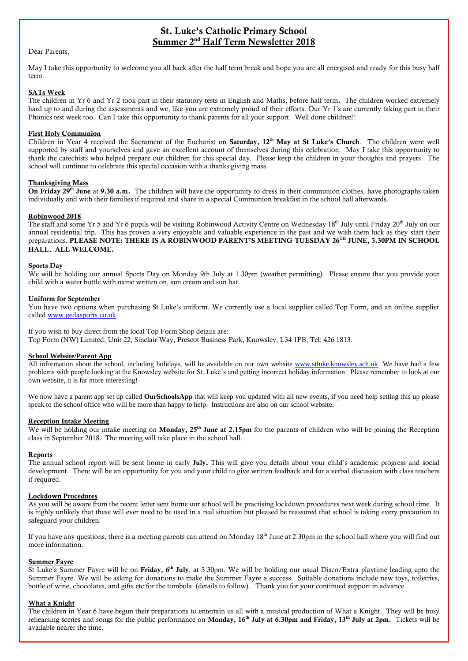# **St. Luke's Catholic Primary School Summer 2nd Half Term Newsletter 2018**

## Dear Parents,

May I take this opportunity to welcome you all back after the half term break and hope you are all energised and ready for this busy half term.

## **SATs Week**

The children in Yr 6 and Yr 2 took part in their statutory tests in English and Maths, before half term**.** The children worked extremely hard up to and during the assessments and we, like you are extremely proud of their efforts. Our Yr 1's are currently taking part in their Phonics test week too. Can I take this opportunity to thank parents for all your support. Well done children!!

## **First Holy Communion**

Children in Year 4 received the Sacrament of the Eucharist on **Saturday, 12 th May at St Luke's Church**. The children were well supported by staff and yourselves and gave an excellent account of themselves during this celebration. May I take this opportunity to thank the catechists who helped prepare our children for this special day. Please keep the children in your thoughts and prayers. The school will continue to celebrate this special occasion with a thanks giving mass.

## **Thanksgiving Mass**

**On Friday 29<sup>th</sup> June** at **9.30 a.m.** The children will have the opportunity to dress in their communion clothes, have photographs taken individually and with their families if required and share in a special Communion breakfast in the school hall afterwards.

## **Robinwood 2018**

The staff and some Yr 5 and Yr 6 pupils will be visiting Robinwood Activity Centre on Wednesday 18<sup>th</sup> July until Friday 20<sup>th</sup> July on our annual residential trip. This has proven a very enjoyable and valuable experience in the past and we wish them luck as they start their preparations. **PLEASE NOTE: THERE IS A ROBINWOOD PARENT'S MEETING TUESDAY 26TH JUNE, 3.30PM IN SCHOOL HALL. ALL WELCOME.**

## **Sports Day**

We will be holding our annual Sports Day on Monday 9th July at 1.30pm (weather permitting). Please ensure that you provide your child with a water bottle with name written on, sun cream and sun hat.

#### **Uniform for September**

You have two options when purchasing St Luke's uniform. We currently use a local supplier called Top Form, and an online supplier calle[d www.gedasports.co.uk.](http://www.gedasports.co.uk/)

If you wish to buy direct from the local Top Form Shop details are:

Top Form (NW) Limited, Unit 22, Sinclair Way, Prescot Business Park, Knowsley, L34 1PB, Tel: 426 1813.

#### **School Website/Parent App**

All information about the school, including holidays, will be available on our own website [www.stluke.knowsley.sch.uk](http://www.stluke.knowsley.sch.uk/) We have had a few problems with people looking at the Knowsley website for St. Luke's and getting incorrect holiday information. Please remember to look at our own website, it is far more interesting!

We now have a parent app set up called **OurSchoolsApp** that will keep you updated with all new events, if you need help setting this up please speak to the school office who will be more than happy to help. Instructions are also on our school website.

## **Reception Intake Meeting**

We will be holding our intake meeting on **Monday, 25<sup>th</sup> June at 2.15pm** for the parents of children who will be joining the Reception class in September 2018. The meeting will take place in the school hall.

#### **Reports**

The annual school report will be sent home in early **July.** This will give you details about your child's academic progress and social development. There will be an opportunity for you and your child to give written feedback and for a verbal discussion with class teachers if required.

## **Lockdown Procedures**

As you will be aware from the recent letter sent home our school will be practising lockdown procedures next week during school time. It is highly unlikely that these will ever need to be used in a real situation but pleased be reassured that school is taking every precaution to safeguard your children.

If you have any questions, there is a meeting parents can attend on Monday 18<sup>th</sup> June at 2.30pm in the school hall where you will find out more information.

#### **Summer Fayre**

St Luke's Summer Fayre will be on Friday, 6<sup>th</sup> July, at 3.30pm. We will be holding our usual Disco/Extra playtime leading upto the Summer Fayre. We will be asking for donations to make the Summer Fayre a success. Suitable donations include new toys, toiletries, bottle of wine, chocolates, and gifts etc for the tombola. (details to follow). Thank you for your continued support in advance.

## **What a Knight**

The children in Year 6 have begun their preparations to entertain us all with a musical production of What a Knight. They will be busy rehearsing scenes and songs for the public performance on Monday, 16<sup>th</sup> July at 6.30pm and Friday, 13<sup>th</sup> July at 2pm. Tickets will be available nearer the time.